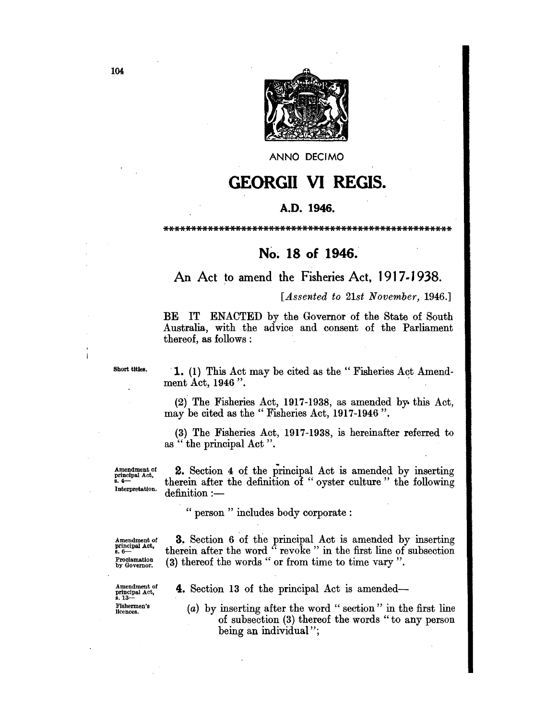

ANNO DECIMa

# GEORGII VI REGIS.

#### A.D. 1946.

\*\*\*\*\*\*\*\*\*\*\*\*\*\*\*\*\*\*\*\*\*\*\*\*\*\*\*\*\*\*\*\*\*\*\*\*\*\*\*\*\*\*\*\*\*\*\*\*\*\*\*\*

## No~ 18 of 1946.

## An Act to amend the Fisheries Act, 1917-1938.

#### *[Assented to 21st November, 1946.]*

BE IT ENACTED by the Governor of the State of South Australia, with the advice and consent of the Parliament thereof, as follows :

Short titles.

j

1. (1) This Act may be cited as the "Fisheries Act Amendment Act, 1946".

(2) The Fisheries Act, 1917-1938, as amended by. this Act, may be cited as the "Fisheries Act, 1917-1946".

(3) The Fisheries Act, 1917-1938, is hereinafter referred to as " the principal Act ".

Amendment of principal Act, 8.4- Interpretation.

2. Section 4 of the principal Act is amended by inserting therein after the definition of "oyster culture" the following  $definition :=$ 

" person " includes body corporate:

Amendment of principal Act,<br>s.  $6-$ Proclamation by Governor.

Amendment of principal Act, s.13- Fishermen's licences.

3. Section 6 of the principal Act is amended by inserting therein after the word " revoke" in the first line of subsection (3) thereof the words" or from time to time vary".

4. Section 13 of the principal Act is amended-

(a) by inserting after the word" section" in the first line of subsection (3) thereof the words" to any person being an individual";